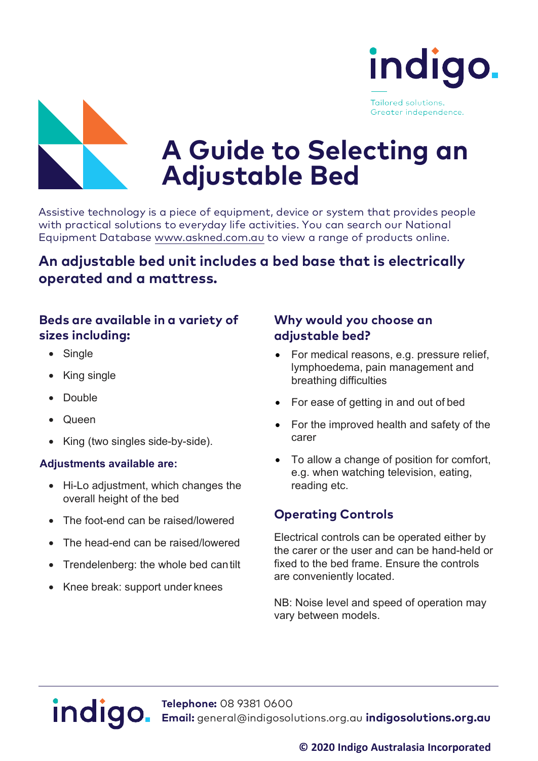





# **A Guide to Selecting an Adjustable Bed**

Assistive technology is a piece of equipment, device or system that provides people<br>with practical solutions to everyday life activities. You can search our National<br>Equipment Database <www.askned.com.au> to view a range of

## **An adjustable bed unit includes a bed base that is electrically operated and a mattress.**

### **Beds are available in a variety of sizes including:**

- Single
- King single
- Double
- Queen
- King (two singles side-by-side).

#### **Adjustments available are:**

- Hi-Lo adjustment, which changes the overall height of the bed
- The foot-end can be raised/lowered
- The head-end can be raised/lowered
- Trendelenberg: the whole bed cantilt
- Knee break: support under knees

### **Why would you choose an adjustable bed?**

- For medical reasons, e.g. pressure relief, lymphoedema, pain management and breathing difficulties
- For ease of getting in and out of bed
- For the improved health and safety of the carer
- To allow a change of position for comfort, e.g. when watching television, eating, reading etc.

### **Operating Controls**

Electrical controls can be operated either by the carer or the user and can be hand-held or fixed to the bed frame. Ensure the controls are conveniently located.

NB: Noise level and speed of operation may vary between models.

# indigo.